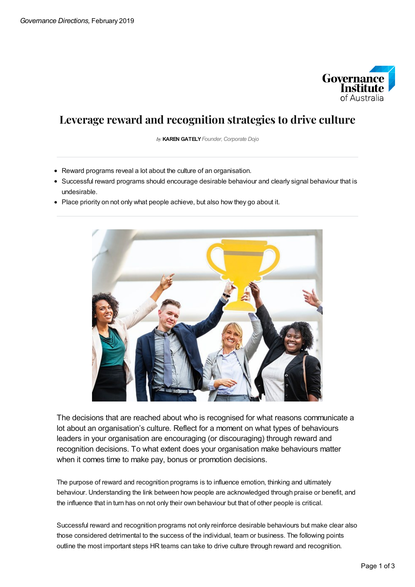

## **Leverage reward and recognition strategies to drive culture**

by **KAREN GATELY***Founder,Corporate Dojo*

- Reward programs reveal a lot about the culture of an organisation.
- Successful reward programs should encourage desirable behaviour and clearly signal behaviour that is undesirable.
- Place priority on not only what people achieve, but also how they go about it.



The decisions that are reached about who is recognised for what reasons communicate a lot about an organisation's culture. Reflect for a moment on what types of behaviours leaders in your organisation are encouraging (or discouraging) through reward and recognition decisions. To what extent does your organisation make behaviours matter when it comes time to make pay, bonus or promotion decisions.

The purpose of reward and recognition programs is to influence emotion, thinking and ultimately behaviour. Understanding the link between how people are acknowledged through praise or benefit, and the influence that in turn has on not only their own behaviour but that of other people is critical.

Successful reward and recognition programs not only reinforce desirable behaviours but make clear also those considered detrimental to the success of the individual, team or business. The following points outline the most important steps HR teams can take to drive culture through reward and recognition.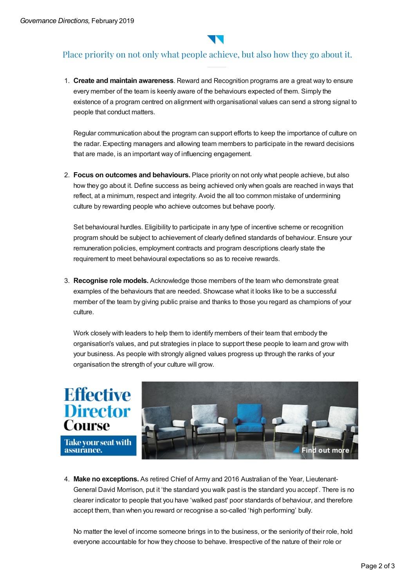

## Place priority on not only what people achieve, but also how they go about it.

1. **Create and maintain awareness**. Reward and Recognition programs are a great way to ensure every member of the team is keenly aware of the behaviours expected of them. Simply the existence of a program centred on alignment with organisational values can send a strong signal to people that conduct matters.

Regular communication about the program can support efforts to keep the importance of culture on the radar. Expecting managers and allowing team members to participate in the reward decisions that are made, is an important way of influencing engagement.

2. **Focus on outcomes and behaviours.** Place priority on not only what people achieve, but also how they go about it. Define success as being achieved only when goals are reached in ways that reflect, at a minimum, respect and integrity. Avoid the all too common mistake of undermining culture by rewarding people who achieve outcomes but behave poorly.

Set behavioural hurdles. Eligibility to participate in any type of incentive scheme or recognition program should be subject to achievement of clearly defined standards of behaviour. Ensure your remuneration policies, employment contracts and program descriptions clearly state the requirement to meet behavioural expectations so as to receive rewards.

3. **Recognise role models.** Acknowledge those members of the team who demonstrate great examples of the behaviours that are needed. Showcase what it looks like to be a successful member of the team by giving public praise and thanks to those you regard as champions of your culture.

Work closely with leaders to help them to identify members of their team that embody the organisation's values, and put strategies in place to support these people to learn and grow with your business. As people with strongly aligned values progress up through the ranks of your organisation the strength of your culture will grow.



4. **Make no exceptions.** As retired Chief of Army and 2016 Australian of the Year, Lieutenant-General David Morrison, put it 'the standard you walk past is the standard you accept'. There is no clearer indicator to people that you have 'walked past' poor standards of behaviour, and therefore accept them, than when you reward or recognise a so-called 'high performing' bully.

No matter the level of income someone brings in to the business, or the seniority of their role, hold everyone accountable for how they choose to behave. Irrespective of the nature of their role or